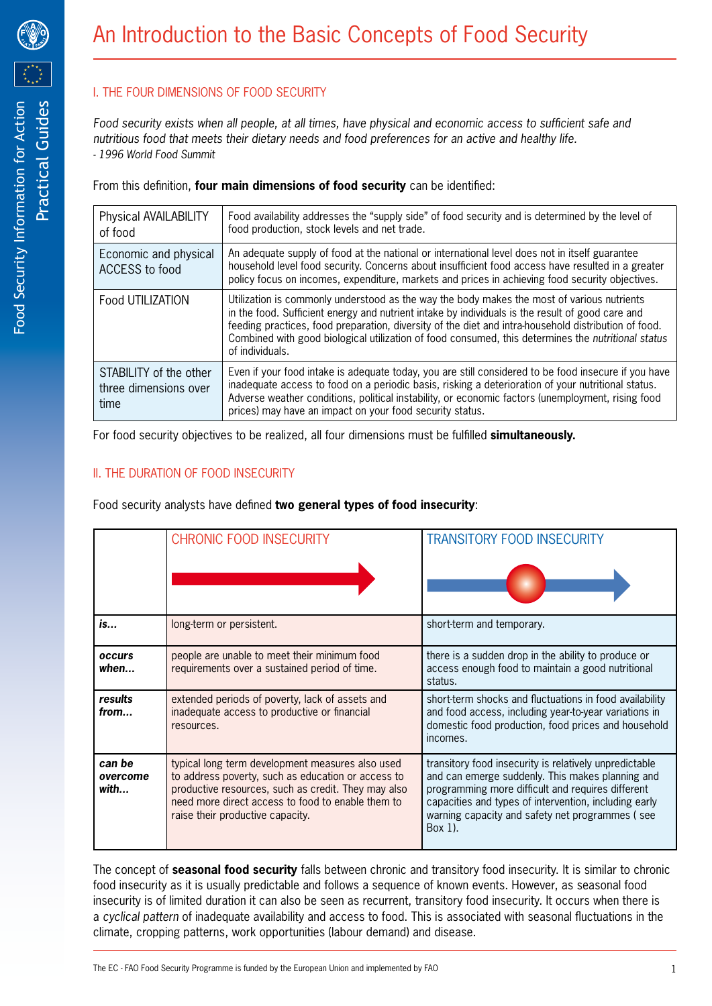

# I. THE FOUR DIMENSIONS OF FOOD SECURITY

*Food security exists when all people, at all times, have physical and economic access to sufficient safe and nutritious food that meets their dietary needs and food preferences for an active and healthy life. - 1996 World Food Summit*

From this definition, **four main dimensions of food security** can be identified:

| Physical AVAILABILITY<br>of food                        | Food availability addresses the "supply side" of food security and is determined by the level of<br>food production, stock levels and net trade.                                                                                                                                                                                                                                                                                |
|---------------------------------------------------------|---------------------------------------------------------------------------------------------------------------------------------------------------------------------------------------------------------------------------------------------------------------------------------------------------------------------------------------------------------------------------------------------------------------------------------|
| Economic and physical<br><b>ACCESS to food</b>          | An adequate supply of food at the national or international level does not in itself guarantee<br>household level food security. Concerns about insufficient food access have resulted in a greater<br>policy focus on incomes, expenditure, markets and prices in achieving food security objectives.                                                                                                                          |
| Food UTILIZATION                                        | Utilization is commonly understood as the way the body makes the most of various nutrients<br>in the food. Sufficient energy and nutrient intake by individuals is the result of good care and<br>feeding practices, food preparation, diversity of the diet and intra-household distribution of food.<br>Combined with good biological utilization of food consumed, this determines the nutritional status<br>of individuals. |
| STABILITY of the other<br>three dimensions over<br>time | Even if your food intake is adequate today, you are still considered to be food insecure if you have<br>inadequate access to food on a periodic basis, risking a deterioration of your nutritional status.<br>Adverse weather conditions, political instability, or economic factors (unemployment, rising food<br>prices) may have an impact on your food security status.                                                     |

For food security objectives to be realized, all four dimensions must be fulfilled **simultaneously.**

## II. THE DURATION OF FOOD INSECURITY

Food security analysts have defined **two general types of food insecurity**:

|                            | <b>CHRONIC FOOD INSECURITY</b>                                                                                                                                                                                                                         | <b>TRANSITORY FOOD INSECURITY</b>                                                                                                                                                                                                                                                      |
|----------------------------|--------------------------------------------------------------------------------------------------------------------------------------------------------------------------------------------------------------------------------------------------------|----------------------------------------------------------------------------------------------------------------------------------------------------------------------------------------------------------------------------------------------------------------------------------------|
|                            |                                                                                                                                                                                                                                                        |                                                                                                                                                                                                                                                                                        |
| is                         | long-term or persistent.                                                                                                                                                                                                                               | short-term and temporary.                                                                                                                                                                                                                                                              |
| occurs<br>when             | people are unable to meet their minimum food<br>requirements over a sustained period of time.                                                                                                                                                          | there is a sudden drop in the ability to produce or<br>access enough food to maintain a good nutritional<br>status.                                                                                                                                                                    |
| results<br>from            | extended periods of poverty, lack of assets and<br>inadequate access to productive or financial<br>resources.                                                                                                                                          | short-term shocks and fluctuations in food availability<br>and food access, including year-to-year variations in<br>domestic food production, food prices and household<br>incomes.                                                                                                    |
| can be<br>overcome<br>with | typical long term development measures also used<br>to address poverty, such as education or access to<br>productive resources, such as credit. They may also<br>need more direct access to food to enable them to<br>raise their productive capacity. | transitory food insecurity is relatively unpredictable<br>and can emerge suddenly. This makes planning and<br>programming more difficult and requires different<br>capacities and types of intervention, including early<br>warning capacity and safety net programmes (see<br>Box 1). |

The concept of **seasonal food security** falls between chronic and transitory food insecurity. It is similar to chronic food insecurity as it is usually predictable and follows a sequence of known events. However, as seasonal food insecurity is of limited duration it can also be seen as recurrent, transitory food insecurity. It occurs when there is a *cyclical pattern* of inadequate availability and access to food. This is associated with seasonal fluctuations in the climate, cropping patterns, work opportunities (labour demand) and disease.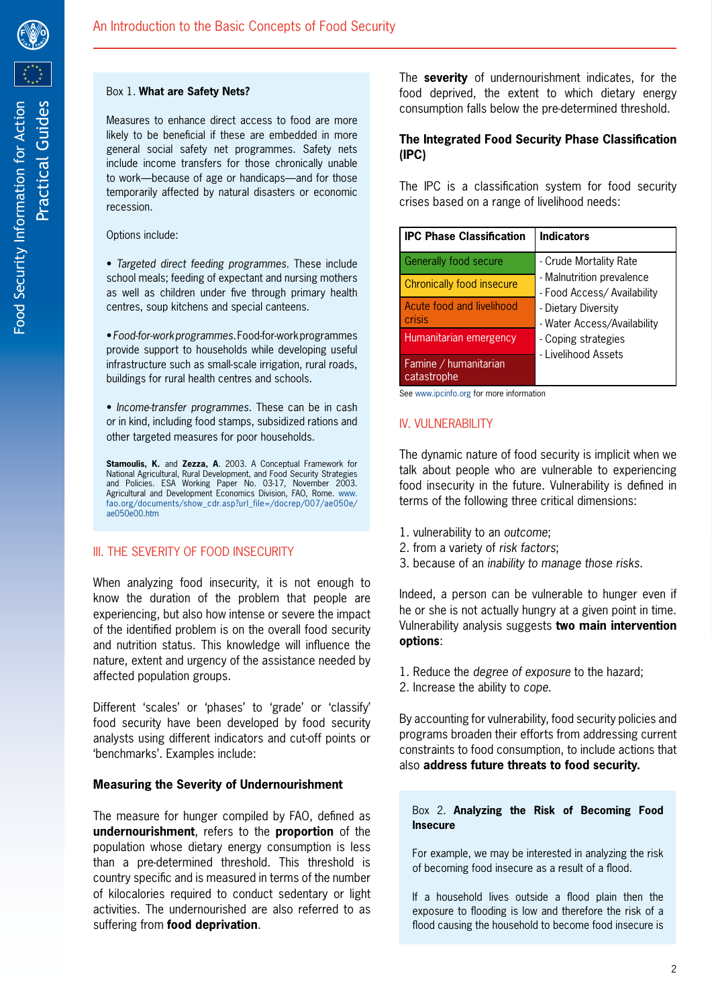

#### Box 1. **What are Safety Nets?**

Measures to enhance direct access to food are more likely to be beneficial if these are embedded in more general social safety net programmes. Safety nets include income transfers for those chronically unable to work—because of age or handicaps—and for those temporarily affected by natural disasters or economic recession.

Options include:

• *Targeted direct feeding programmes*. These include school meals; feeding of expectant and nursing mothers as well as children under five through primary health centres, soup kitchens and special canteens.

• *Food-for-work programmes.* Food-for-work programmes provide support to households while developing useful infrastructure such as small-scale irrigation, rural roads, buildings for rural health centres and schools.

• *Income-transfer programmes.* These can be in cash or in kind, including food stamps, subsidized rations and other targeted measures for poor households.

**Stamoulis, K.** and **Zezza, A**. 2003. A Conceptual Framework for National Agricultural, Rural Development, and Food Security Strategies and Policies. ESA Working Paper No. 03-17, November 2003. Agricultural and Development Economics Division, FAO, Rome. www. fao.org/documents/show\_cdr.asp?url\_file=/docrep/007/ae050e/ ae050e00.htm

## III. THE SEVERITY OF FOOD INSECURITY

When analyzing food insecurity, it is not enough to know the duration of the problem that people are experiencing, but also how intense or severe the impact of the identified problem is on the overall food security and nutrition status. This knowledge will influence the nature, extent and urgency of the assistance needed by affected population groups.

Different 'scales' or 'phases' to 'grade' or 'classify' food security have been developed by food security analysts using different indicators and cut-off points or 'benchmarks'. Examples include:

## **Measuring the Severity of Undernourishment**

The measure for hunger compiled by FAO, defined as **undernourishment**, refers to the **proportion** of the population whose dietary energy consumption is less than a pre-determined threshold. This threshold is country specific and is measured in terms of the number of kilocalories required to conduct sedentary or light activities. The undernourished are also referred to as suffering from **food deprivation**.

The **severity** of undernourishment indicates, for the food deprived, the extent to which dietary energy consumption falls below the pre-determined threshold.

## **The Integrated Food Security Phase Classification (IPC)**

The IPC is a classification system for food security crises based on a range of livelihood needs:

| <b>IPC Phase Classification</b>      | <b>Indicators</b>                                                                                                                                                                      |
|--------------------------------------|----------------------------------------------------------------------------------------------------------------------------------------------------------------------------------------|
| Generally food secure                | - Crude Mortality Rate<br>- Malnutrition prevalence<br>- Food Access/ Availability<br>- Dietary Diversity<br>- Water Access/Availability<br>- Coping strategies<br>- Livelihood Assets |
| Chronically food insecure            |                                                                                                                                                                                        |
| Acute food and livelihood<br>crisis  |                                                                                                                                                                                        |
| Humanitarian emergency               |                                                                                                                                                                                        |
| Famine / humanitarian<br>catastrophe |                                                                                                                                                                                        |

See www.ipcinfo.org for more information

## IV. VULNERABILITY

The dynamic nature of food security is implicit when we talk about people who are vulnerable to experiencing food insecurity in the future. Vulnerability is defined in terms of the following three critical dimensions:

- 1. vulnerability to an *outcome*;
- 2. from a variety of *risk factors*;
- 3. because of an *inability to manage those risks*.

Indeed, a person can be vulnerable to hunger even if he or she is not actually hungry at a given point in time. Vulnerability analysis suggests **two main intervention options**:

- 1. Reduce the *degree of exposure* to the hazard;
- 2. Increase the ability to *cope*.

By accounting for vulnerability, food security policies and programs broaden their efforts from addressing current constraints to food consumption, to include actions that also **address future threats to food security.**

### Box 2. **Analyzing the Risk of Becoming Food Insecure**

For example, we may be interested in analyzing the risk of becoming food insecure as a result of a flood.

If a household lives outside a flood plain then the exposure to flooding is low and therefore the risk of a flood causing the household to become food insecure is